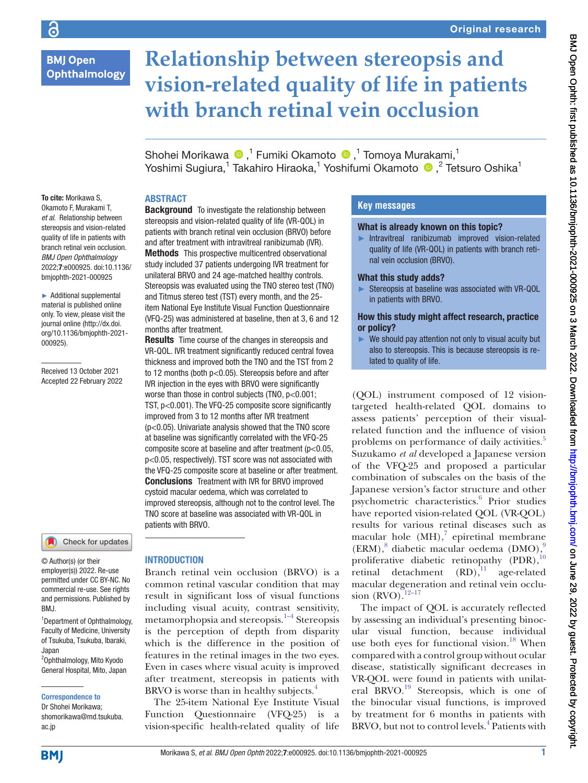# **BMJ Open** Ophthalmology

# **Relationship between stereopsis and vision-related quality of life in patients with branch retinal vein occlusion**

Shohei Morikawa <sup>n 1</sup> Fumiki Okamoto n <sup>1</sup> Tomoya Murakami,<sup>1</sup> Yoshimi Sugiura,<sup>1</sup> Takahiro Hiraoka,<sup>1</sup> Yoshifumi Okamoto (D,<sup>2</sup> Tetsuro Oshika<sup>1</sup>

# ABSTRACT

To cite: Morikawa S, Okamoto F, Murakami T, *et al*. Relationship between stereopsis and vision-related quality of life in patients with branch retinal vein occlusion. *BMJ Open Ophthalmology* 2022;7:e000925. doi:10.1136/ bmjophth-2021-000925

► Additional supplemental material is published online only. To view, please visit the journal online ([http://dx.doi.](http://dx.doi.org/10.1136/bmjophth-2021-000925) [org/10.1136/bmjophth-2021-](http://dx.doi.org/10.1136/bmjophth-2021-000925) [000925](http://dx.doi.org/10.1136/bmjophth-2021-000925)).

Received 13 October 2021 Accepted 22 February 2022



© Author(s) (or their employer(s)) 2022. Re-use permitted under CC BY-NC. No commercial re-use. See rights and permissions. Published by BMJ.

<sup>1</sup>Department of Ophthalmology, Faculty of Medicine, University of Tsukuba, Tsukuba, Ibaraki, Japan

2 Ophthalmology, Mito Kyodo General Hospital, Mito, Japan

#### Correspondence to

Dr Shohei Morikawa; shomorikawa@md.tsukuba. ac.jp

**Background** To investigate the relationship between stereopsis and vision-related quality of life (VR-QOL) in patients with branch retinal vein occlusion (BRVO) before and after treatment with intravitreal ranibizumab (IVR). Methods This prospective multicentred observational study included 37 patients undergoing IVR treatment for unilateral BRVO and 24 age-matched healthy controls. Stereopsis was evaluated using the TNO stereo test (TNO) and Titmus stereo test (TST) every month, and the 25 item National Eye Institute Visual Function Questionnaire (VFQ-25) was administered at baseline, then at 3, 6 and 12 months after treatment.

**Results** Time course of the changes in stereopsis and VR-QOL. IVR treatment significantly reduced central fovea thickness and improved both the TNO and the TST from 2 to 12 months (both p<0.05). Stereopsis before and after IVR injection in the eyes with BRVO were significantly worse than those in control subjects (TNO,  $p<0.001$ ; TST, p<0.001). The VFQ-25 composite score significantly improved from 3 to 12 months after IVR treatment (p<0.05). Univariate analysis showed that the TNO score at baseline was significantly correlated with the VFQ-25 composite score at baseline and after treatment (p<0.05, p<0.05, respectively). TST score was not associated with the VFQ-25 composite score at baseline or after treatment. Conclusions Treatment with IVR for BRVO improved cystoid macular oedema, which was correlated to improved stereopsis, although not to the control level. The TNO score at baseline was associated with VR-QOL in patients with BRVO.

#### INTRODUCTION

Branch retinal vein occlusion (BRVO) is a common retinal vascular condition that may result in significant loss of visual functions including visual acuity, contrast sensitivity, metamorphopsia and stereopsis. $1-4$  Stereopsis is the perception of depth from disparity which is the difference in the position of features in the retinal images in the two eyes. Even in cases where visual acuity is improved after treatment, stereopsis in patients with BRVO is worse than in healthy subjects. $4$ 

The 25-item National Eye Institute Visual Function Questionnaire (VFQ-25) is a vision-specific health-related quality of life

## **Key messages**

#### What is already known on this topic?

► Intravitreal ranibizumab improved vision-related quality of life (VR-QOL) in patients with branch retinal vein occlusion (BRVO).

#### What this study adds?

► Stereopsis at baseline was associated with VR-QOL in patients with BRVO.

#### How this study might affect research, practice or policy?

 $\blacktriangleright$  We should pay attention not only to visual acuity but also to stereopsis. This is because stereopsis is related to quality of life.

(QOL) instrument composed of 12 visiontargeted health-related QOL domains to assess patients' perception of their visualrelated function and the influence of vision problems on performance of daily activities.<sup>[5](#page-5-2)</sup> Suzukamo *et al* developed a Japanese version of the VFQ-25 and proposed a particular combination of subscales on the basis of the Japanese version's factor structure and other psychometric characteristics.<sup>[6](#page-5-3)</sup> Prior studies have reported vision-related QOL (VR-QOL) results for various retinal diseases such as macular hole  $(MH)$ ,<sup>[7](#page-5-4)</sup> epiretinal membrane (ERM),<sup>[8](#page-5-5)</sup> diabetic macular oedema (DMO),<sup>[9](#page-5-6)</sup> proliferative diabetic retinopathy (PDR),<sup>[10](#page-6-0)</sup> retinal detachment  $(RD)$ ,<sup>[11](#page-6-1)</sup> age-related macular degeneration and retinal vein occlusion  $(RVO).$ <sup>12–17</sup>

The impact of QOL is accurately reflected by assessing an individual's presenting binocular visual function, because individual use both eyes for functional vision.<sup>18</sup> When compared with a control group without ocular disease, statistically significant decreases in VR-QOL were found in patients with unilat-eral BRVO.<sup>[19](#page-6-4)</sup> Stereopsis, which is one of the binocular visual functions, is improved by treatment for 6 months in patients with BRVO, but not to control levels.<sup>[4](#page-5-1)</sup> Patients with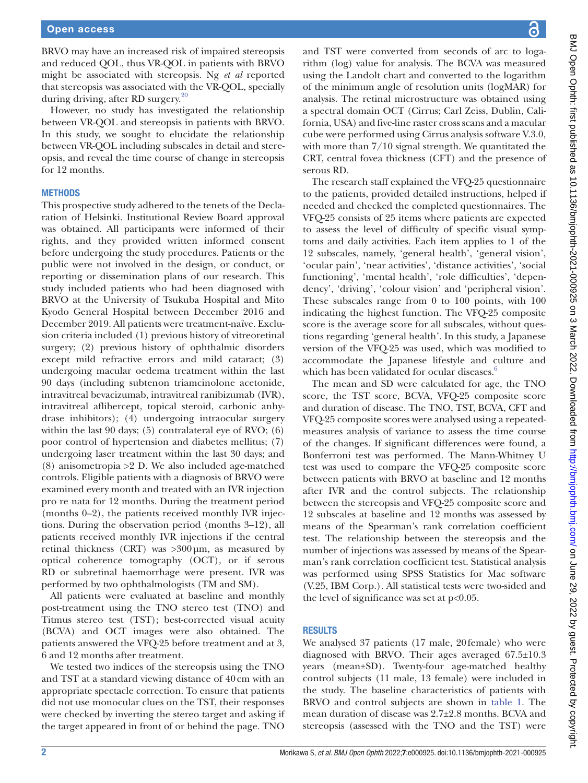BRVO may have an increased risk of impaired stereopsis and reduced QOL, thus VR-QOL in patients with BRVO might be associated with stereopsis. Ng *et al* reported that stereopsis was associated with the VR-QOL, specially during driving, after RD surgery.[20](#page-6-5)

However, no study has investigated the relationship between VR-QOL and stereopsis in patients with BRVO. In this study, we sought to elucidate the relationship between VR-QOL including subscales in detail and stereopsis, and reveal the time course of change in stereopsis for 12 months.

#### **METHODS**

This prospective study adhered to the tenets of the Declaration of Helsinki. Institutional Review Board approval was obtained. All participants were informed of their rights, and they provided written informed consent before undergoing the study procedures. Patients or the public were not involved in the design, or conduct, or reporting or dissemination plans of our research. This study included patients who had been diagnosed with BRVO at the University of Tsukuba Hospital and Mito Kyodo General Hospital between December 2016 and December 2019. All patients were treatment-naïve. Exclusion criteria included (1) previous history of vitreoretinal surgery; (2) previous history of ophthalmic disorders except mild refractive errors and mild cataract; (3) undergoing macular oedema treatment within the last 90 days (including subtenon triamcinolone acetonide, intravitreal bevacizumab, intravitreal ranibizumab (IVR), intravitreal aflibercept, topical steroid, carbonic anhydrase inhibitors); (4) undergoing intraocular surgery within the last 90 days; (5) contralateral eye of RVO; (6) poor control of hypertension and diabetes mellitus; (7) undergoing laser treatment within the last 30 days; and (8) anisometropia >2 D. We also included age-matched controls. Eligible patients with a diagnosis of BRVO were examined every month and treated with an IVR injection pro re nata for 12 months. During the treatment period (months 0–2), the patients received monthly IVR injections. During the observation period (months 3–12), all patients received monthly IVR injections if the central retinal thickness (CRT) was >300µm, as measured by optical coherence tomography (OCT), or if serous RD or subretinal haemorrhage were present. IVR was performed by two ophthalmologists (TM and SM).

All patients were evaluated at baseline and monthly post-treatment using the TNO stereo test (TNO) and Titmus stereo test (TST); best-corrected visual acuity (BCVA) and OCT images were also obtained. The patients answered the VFQ-25 before treatment and at 3, 6 and 12 months after treatment.

We tested two indices of the stereopsis using the TNO and TST at a standard viewing distance of 40cm with an appropriate spectacle correction. To ensure that patients did not use monocular clues on the TST, their responses were checked by inverting the stereo target and asking if the target appeared in front of or behind the page. TNO

and TST were converted from seconds of arc to logarithm (log) value for analysis. The BCVA was measured using the Landolt chart and converted to the logarithm of the minimum angle of resolution units (logMAR) for analysis. The retinal microstructure was obtained using a spectral domain OCT (Cirrus; Carl Zeiss, Dublin, California, USA) and five-line raster cross scans and a macular cube were performed using Cirrus analysis software V.3.0, with more than 7/10 signal strength. We quantitated the CRT, central fovea thickness (CFT) and the presence of serous RD.

The research staff explained the VFQ-25 questionnaire to the patients, provided detailed instructions, helped if needed and checked the completed questionnaires. The VFQ-25 consists of 25 items where patients are expected to assess the level of difficulty of specific visual symptoms and daily activities. Each item applies to 1 of the 12 subscales, namely, 'general health', 'general vision', 'ocular pain', 'near activities', 'distance activities', 'social functioning', 'mental health', 'role difficulties', 'dependency', 'driving', 'colour vision' and 'peripheral vision'. These subscales range from 0 to 100 points, with 100 indicating the highest function. The VFQ-25 composite score is the average score for all subscales, without questions regarding 'general health'. In this study, a Japanese version of the VFQ-25 was used, which was modified to accommodate the Japanese lifestyle and culture and which has been validated for ocular diseases.<sup>[6](#page-5-3)</sup>

The mean and SD were calculated for age, the TNO score, the TST score, BCVA, VFQ-25 composite score and duration of disease. The TNO, TST, BCVA, CFT and VFQ-25 composite scores were analysed using a repeatedmeasures analysis of variance to assess the time course of the changes. If significant differences were found, a Bonferroni test was performed. The Mann-Whitney U test was used to compare the VFQ-25 composite score between patients with BRVO at baseline and 12 months after IVR and the control subjects. The relationship between the stereopsis and VFQ-25 composite score and 12 subscales at baseline and 12 months was assessed by means of the Spearman's rank correlation coefficient test. The relationship between the stereopsis and the number of injections was assessed by means of the Spearman's rank correlation coefficient test. Statistical analysis was performed using SPSS Statistics for Mac software (V.25, IBM Corp.). All statistical tests were two-sided and the level of significance was set at p<0.05.

#### RESULTS

We analysed 37 patients (17 male, 20female) who were diagnosed with BRVO. Their ages averaged 67.5±10.3 years (mean±SD). Twenty-four age-matched healthy control subjects (11 male, 13 female) were included in the study. The baseline characteristics of patients with BRVO and control subjects are shown in [table](#page-2-0) 1. The mean duration of disease was 2.7±2.8 months. BCVA and stereopsis (assessed with the TNO and the TST) were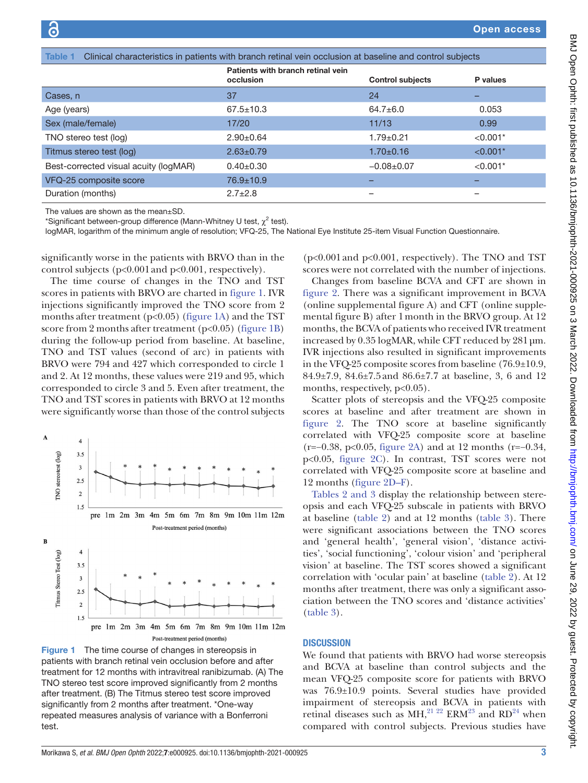<span id="page-2-0"></span>

| Clinical characteristics in patients with branch retinal vein occlusion at baseline and control subjects<br>Table 1 |                                                |                         |            |  |  |  |
|---------------------------------------------------------------------------------------------------------------------|------------------------------------------------|-------------------------|------------|--|--|--|
|                                                                                                                     | Patients with branch retinal vein<br>occlusion | <b>Control subjects</b> | P values   |  |  |  |
| Cases, n                                                                                                            | 37                                             | 24                      | -          |  |  |  |
| Age (years)                                                                                                         | $67.5 \pm 10.3$                                | $64.7 \pm 6.0$          | 0.053      |  |  |  |
| Sex (male/female)                                                                                                   | 17/20                                          | 11/13                   | 0.99       |  |  |  |
| TNO stereo test (log)                                                                                               | $2.90+0.64$                                    | $1.79 + 0.21$           | $< 0.001*$ |  |  |  |
| Titmus stereo test (log)                                                                                            | $2.63 \pm 0.79$                                | $1.70 \pm 0.16$         | $< 0.001*$ |  |  |  |
| Best-corrected visual acuity (logMAR)                                                                               | $0.40+0.30$                                    | $-0.08 + 0.07$          | $< 0.001*$ |  |  |  |
| VFQ-25 composite score                                                                                              | 76.9±10.9                                      |                         |            |  |  |  |
| Duration (months)                                                                                                   | $2.7 \pm 2.8$                                  |                         |            |  |  |  |

The values are shown as the mean±SD.

\*Significant between-group difference (Mann-Whitney U test,  $\chi^2$  test).

logMAR, logarithm of the minimum angle of resolution; VFQ-25, The National Eye Institute 25-item Visual Function Questionnaire.

significantly worse in the patients with BRVO than in the control subjects (p<0.001and p<0.001, respectively).

The time course of changes in the TNO and TST scores in patients with BRVO are charted in [figure](#page-2-1) 1. IVR injections significantly improved the TNO score from 2 months after treatment ( $p<0.05$ ) ([figure](#page-2-1) 1A) and the TST score from 2 months after treatment  $(p<0.05)$  [\(figure](#page-2-1) 1B) during the follow-up period from baseline. At baseline, TNO and TST values (second of arc) in patients with BRVO were 794 and 427 which corresponded to circle 1 and 2. At 12 months, these values were 219 and 95, which corresponded to circle 3 and 5. Even after treatment, the TNO and TST scores in patients with BRVO at 12 months were significantly worse than those of the control subjects



<span id="page-2-1"></span>Figure 1 The time course of changes in stereopsis in patients with branch retinal vein occlusion before and after treatment for 12 months with intravitreal ranibizumab. (A) The TNO stereo test score improved significantly from 2 months after treatment. (B) The Titmus stereo test score improved significantly from 2 months after treatment. \*One-way repeated measures analysis of variance with a Bonferroni test.

(p<0.001and p<0.001, respectively). The TNO and TST scores were not correlated with the number of injections.

Changes from baseline BCVA and CFT are shown in [figure](#page-3-0) 2. There was a significant improvement in BCVA [\(online supplemental figure A](https://dx.doi.org/10.1136/bmjophth-2021-000925)) and CFT [\(online supple](https://dx.doi.org/10.1136/bmjophth-2021-000925)[mental figure B](https://dx.doi.org/10.1136/bmjophth-2021-000925)) after 1month in the BRVO group. At 12 months, the BCVA of patients who received IVR treatment increased by 0.35 logMAR, while CFT reduced by 281µm. IVR injections also resulted in significant improvements in the VFQ-25 composite scores from baseline (76.9±10.9, 84.9±7.9, 84.6±7.5and 86.6±7.7 at baseline, 3, 6 and 12 months, respectively,  $p<0.05$ ).

Scatter plots of stereopsis and the VFQ-25 composite scores at baseline and after treatment are shown in [figure](#page-3-0) 2. The TNO score at baseline significantly correlated with VFQ-25 composite score at baseline (r=−0.38, p<0.05, [figure](#page-3-0) 2A) and at 12 months (r=−0.34, p<0.05, [figure](#page-3-0) 2C). In contrast, TST scores were not correlated with VFQ-25 composite score at baseline and 12 months ([figure](#page-3-0) 2D–F).

Tables [2 and 3](#page-4-0) display the relationship between stereopsis and each VFQ-25 subscale in patients with BRVO at baseline ([table](#page-4-0) 2) and at 12 months [\(table](#page-4-1) 3). There were significant associations between the TNO scores and 'general health', 'general vision', 'distance activities', 'social functioning', 'colour vision' and 'peripheral vision' at baseline. The TST scores showed a significant correlation with 'ocular pain' at baseline [\(table](#page-4-0) 2). At 12 months after treatment, there was only a significant association between the TNO scores and 'distance activities' [\(table](#page-4-1) 3).

#### **DISCUSSION**

We found that patients with BRVO had worse stereopsis and BCVA at baseline than control subjects and the mean VFQ-25 composite score for patients with BRVO was 76.9±10.9 points. Several studies have provided impairment of stereopsis and BCVA in patients with retinal diseases such as  $MH$ ,<sup>21 22</sup> ERM<sup>23</sup> and RD<sup>24</sup> when compared with control subjects. Previous studies have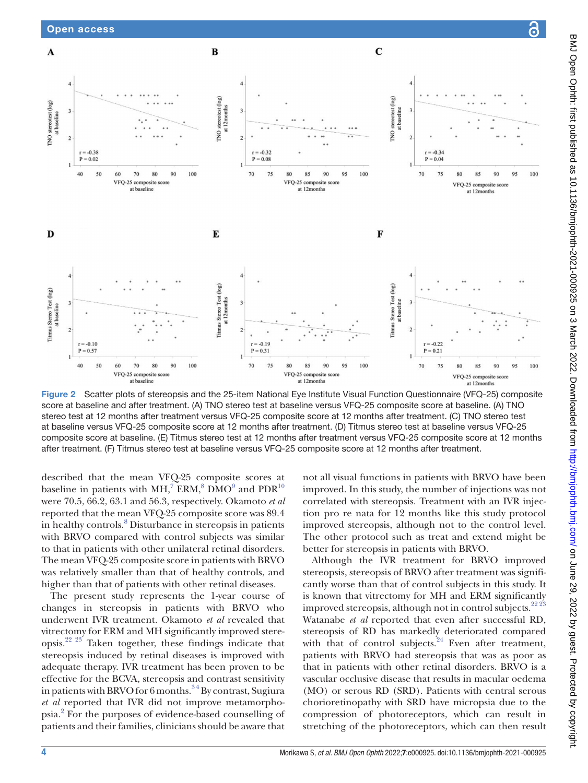

<span id="page-3-0"></span>Figure 2 Scatter plots of stereopsis and the 25-item National Eye Institute Visual Function Questionnaire (VFQ-25) composite score at baseline and after treatment. (A) TNO stereo test at baseline versus VFQ-25 composite score at baseline. (A) TNO stereo test at 12 months after treatment versus VFQ-25 composite score at 12 months after treatment. (C) TNO stereo test at baseline versus VFQ-25 composite score at 12 months after treatment. (D) Titmus stereo test at baseline versus VFQ-25 composite score at baseline. (E) Titmus stereo test at 12 months after treatment versus VFQ-25 composite score at 12 months after treatment. (F) Titmus stereo test at baseline versus VFQ-25 composite score at 12 months after treatment.

described that the mean VFQ-25 composite scores at baseline in patients with MH,<sup>7</sup> ERM,<sup>[8](#page-5-5)</sup> DMO<sup>[9](#page-5-6)</sup> and PDR<sup>10</sup> were 70.5, 66.2, 63.1 and 56.3, respectively. Okamoto *et al* reported that the mean VFQ-25 composite score was 89.4 in healthy controls.<sup>[8](#page-5-5)</sup> Disturbance in stereopsis in patients with BRVO compared with control subjects was similar to that in patients with other unilateral retinal disorders. The mean VFQ-25 composite score in patients with BRVO was relatively smaller than that of healthy controls, and higher than that of patients with other retinal diseases.

The present study represents the 1-year course of changes in stereopsis in patients with BRVO who underwent IVR treatment. Okamoto *et al* revealed that vitrectomy for ERM and MH significantly improved stereopsis.<sup>22 23</sup> Taken together, these findings indicate that stereopsis induced by retinal diseases is improved with adequate therapy. IVR treatment has been proven to be effective for the BCVA, stereopsis and contrast sensitivity in patients with BRVO for 6 months.<sup>34</sup> By contrast, Sugiura *et al* reported that IVR did not improve metamorphopsia.[2](#page-5-8) For the purposes of evidence-based counselling of patients and their families, clinicians should be aware that

not all visual functions in patients with BRVO have been improved. In this study, the number of injections was not correlated with stereopsis. Treatment with an IVR injection pro re nata for 12 months like this study protocol improved stereopsis, although not to the control level. The other protocol such as treat and extend might be better for stereopsis in patients with BRVO.

Although the IVR treatment for BRVO improved stereopsis, stereopsis of BRVO after treatment was significantly worse than that of control subjects in this study. It is known that vitrectomy for MH and ERM significantly improved stereopsis, although not in control subjects. $2223$ Watanabe *et al* reported that even after successful RD, stereopsis of RD has markedly deteriorated compared with that of control subjects. $24$  Even after treatment, patients with BRVO had stereopsis that was as poor as that in patients with other retinal disorders. BRVO is a vascular occlusive disease that results in macular oedema (MO) or serous RD (SRD). Patients with central serous chorioretinopathy with SRD have micropsia due to the compression of photoreceptors, which can result in stretching of the photoreceptors, which can then result

<u>a</u>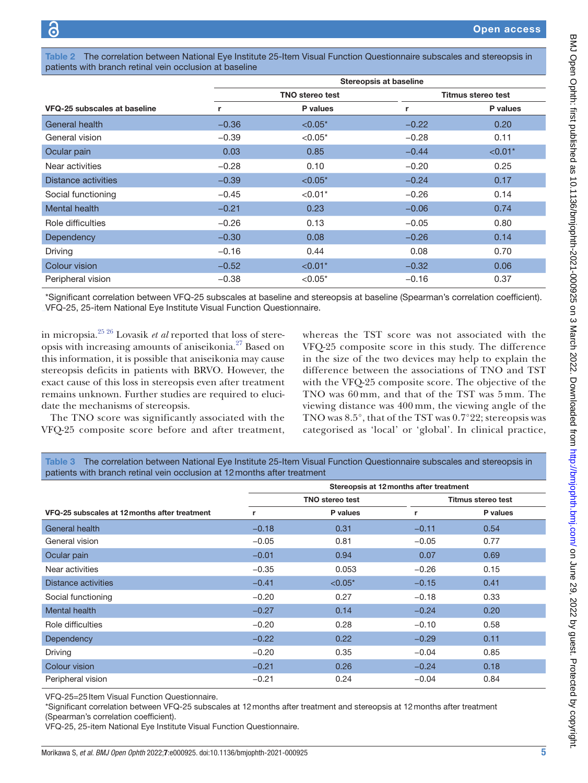<span id="page-4-0"></span>Table 2 The correlation between National Eye Institute 25-Item Visual Function Questionnaire subscales and stereopsis in patients with branch retinal vein occlusion at baseline

|                              |         | Stereopsis at baseline |                    |           |  |  |
|------------------------------|---------|------------------------|--------------------|-----------|--|--|
|                              |         | <b>TNO</b> stereo test | Titmus stereo test |           |  |  |
| VFQ-25 subscales at baseline | r       | P values               | r                  | P values  |  |  |
| General health               | $-0.36$ | $< 0.05*$              | $-0.22$            | 0.20      |  |  |
| General vision               | $-0.39$ | $< 0.05*$              | $-0.28$            | 0.11      |  |  |
| Ocular pain                  | 0.03    | 0.85                   | $-0.44$            | $< 0.01*$ |  |  |
| Near activities              | $-0.28$ | 0.10                   | $-0.20$            | 0.25      |  |  |
| Distance activities          | $-0.39$ | $< 0.05*$              | $-0.24$            | 0.17      |  |  |
| Social functioning           | $-0.45$ | $< 0.01*$              | $-0.26$            | 0.14      |  |  |
| Mental health                | $-0.21$ | 0.23                   | $-0.06$            | 0.74      |  |  |
| Role difficulties            | $-0.26$ | 0.13                   | $-0.05$            | 0.80      |  |  |
| Dependency                   | $-0.30$ | 0.08                   | $-0.26$            | 0.14      |  |  |
| Driving                      | $-0.16$ | 0.44                   | 0.08               | 0.70      |  |  |
| Colour vision                | $-0.52$ | $< 0.01*$              | $-0.32$            | 0.06      |  |  |
| Peripheral vision            | $-0.38$ | $< 0.05*$              | $-0.16$            | 0.37      |  |  |

\*Significant correlation between VFQ-25 subscales at baseline and stereopsis at baseline (Spearman's correlation coefficient). VFQ-25, 25-item National Eye Institute Visual Function Questionnaire.

in micropsia.[25 26](#page-6-10) Lovasik *et al* reported that loss of stereopsis with increasing amounts of aniseikonia.[27](#page-6-11) Based on this information, it is possible that aniseikonia may cause stereopsis deficits in patients with BRVO. However, the exact cause of this loss in stereopsis even after treatment remains unknown. Further studies are required to elucidate the mechanisms of stereopsis.

The TNO score was significantly associated with the VFQ-25 composite score before and after treatment,

whereas the TST score was not associated with the VFQ-25 composite score in this study. The difference in the size of the two devices may help to explain the difference between the associations of TNO and TST with the VFQ-25 composite score. The objective of the TNO was 60 mm, and that of the TST was 5 mm. The viewing distance was 400 mm, the viewing angle of the TNO was 8.5°, that of the TST was 0.7°22; stereopsis was categorised as 'local' or 'global'. In clinical practice,

<span id="page-4-1"></span>Table 3 The correlation between National Eye Institute 25-Item Visual Function Questionnaire subscales and stereopsis in patients with branch retinal vein occlusion at 12months after treatment

|                                               | Stereopsis at 12 months after treatment |           |                    |          |
|-----------------------------------------------|-----------------------------------------|-----------|--------------------|----------|
|                                               | <b>TNO stereo test</b>                  |           | Titmus stereo test |          |
| VFQ-25 subscales at 12 months after treatment | r                                       | P values  | r                  | P values |
| General health                                | $-0.18$                                 | 0.31      | $-0.11$            | 0.54     |
| General vision                                | $-0.05$                                 | 0.81      | $-0.05$            | 0.77     |
| Ocular pain                                   | $-0.01$                                 | 0.94      | 0.07               | 0.69     |
| Near activities                               | $-0.35$                                 | 0.053     | $-0.26$            | 0.15     |
| <b>Distance activities</b>                    | $-0.41$                                 | $< 0.05*$ | $-0.15$            | 0.41     |
| Social functioning                            | $-0.20$                                 | 0.27      | $-0.18$            | 0.33     |
| Mental health                                 | $-0.27$                                 | 0.14      | $-0.24$            | 0.20     |
| Role difficulties                             | $-0.20$                                 | 0.28      | $-0.10$            | 0.58     |
| <b>Dependency</b>                             | $-0.22$                                 | 0.22      | $-0.29$            | 0.11     |
| Driving                                       | $-0.20$                                 | 0.35      | $-0.04$            | 0.85     |
| Colour vision                                 | $-0.21$                                 | 0.26      | $-0.24$            | 0.18     |
| Peripheral vision                             | $-0.21$                                 | 0.24      | $-0.04$            | 0.84     |

VFQ-25=25 Item Visual Function Questionnaire.

\*Significant correlation between VFQ-25 subscales at 12months after treatment and stereopsis at 12months after treatment (Spearman's correlation coefficient).

VFQ-25, 25-item National Eye Institute Visual Function Questionnaire.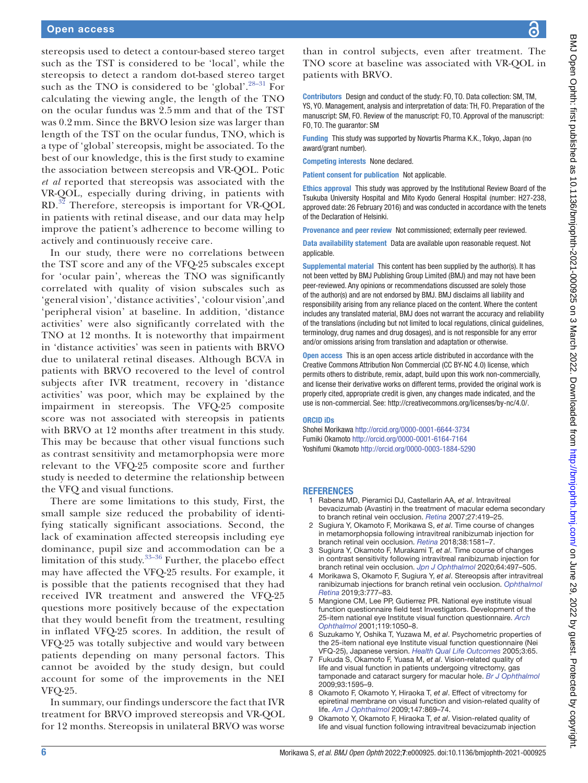stereopsis used to detect a contour-based stereo target such as the TST is considered to be 'local', while the stereopsis to detect a random dot-based stereo target such as the TNO is considered to be 'global'.<sup>[28–31](#page-6-12)</sup> For calculating the viewing angle, the length of the TNO on the ocular fundus was 2.5 mm and that of the TST was 0.2 mm. Since the BRVO lesion size was larger than length of the TST on the ocular fundus, TNO, which is a type of 'global' stereopsis, might be associated. To the best of our knowledge, this is the first study to examine the association between stereopsis and VR-QOL. Potic *et al* reported that stereopsis was associated with the VR-QOL, especially during driving, in patients with RD.[32](#page-6-13) Therefore, stereopsis is important for VR-QOL in patients with retinal disease, and our data may help improve the patient's adherence to become willing to actively and continuously receive care.

In our study, there were no correlations between the TST score and any of the VFQ-25 subscales except for 'ocular pain', whereas the TNO was significantly correlated with quality of vision subscales such as 'general vision', 'distance activities', 'colour vision',and 'peripheral vision' at baseline. In addition, 'distance activities' were also significantly correlated with the TNO at 12 months. It is noteworthy that impairment in 'distance activities' was seen in patients with BRVO due to unilateral retinal diseases. Although BCVA in patients with BRVO recovered to the level of control subjects after IVR treatment, recovery in 'distance activities' was poor, which may be explained by the impairment in stereopsis. The VFQ-25 composite score was not associated with stereopsis in patients with BRVO at 12 months after treatment in this study. This may be because that other visual functions such as contrast sensitivity and metamorphopsia were more relevant to the VFQ-25 composite score and further study is needed to determine the relationship between the VFQ and visual functions.

There are some limitations to this study, First, the small sample size reduced the probability of identifying statically significant associations. Second, the lack of examination affected stereopsis including eye dominance, pupil size and accommodation can be a limitation of this study. $33-36$  Further, the placebo effect may have affected the VFQ-25 results. For example, it is possible that the patients recognised that they had received IVR treatment and answered the VFQ-25 questions more positively because of the expectation that they would benefit from the treatment, resulting in inflated VFQ-25 scores. In addition, the result of VFQ-25 was totally subjective and would vary between patients depending on many personal factors. This cannot be avoided by the study design, but could account for some of the improvements in the NEI VFQ-25.

In summary, our findings underscore the fact that IVR treatment for BRVO improved stereopsis and VR-QOL for 12 months. Stereopsis in unilateral BRVO was worse

than in control subjects, even after treatment. The TNO score at baseline was associated with VR-QOL in patients with BRVO.

Contributors Design and conduct of the study: FO, TO. Data collection: SM, TM, YS, YO. Management, analysis and interpretation of data: TH, FO. Preparation of the manuscript: SM, FO. Review of the manuscript: FO, TO. Approval of the manuscript: FO, TO. The guarantor: SM

Funding This study was supported by Novartis Pharma K.K., Tokyo, Japan (no award/grant number).

Competing interests None declared.

Patient consent for publication Not applicable.

Ethics approval This study was approved by the Institutional Review Board of the Tsukuba University Hospital and Mito Kyodo General Hospital (number: H27-238, approved date: 26 February 2016) and was conducted in accordance with the tenets of the Declaration of Helsinki.

Provenance and peer review Not commissioned; externally peer reviewed.

Data availability statement Data are available upon reasonable request. Not applicable.

Supplemental material This content has been supplied by the author(s). It has not been vetted by BMJ Publishing Group Limited (BMJ) and may not have been peer-reviewed. Any opinions or recommendations discussed are solely those of the author(s) and are not endorsed by BMJ. BMJ disclaims all liability and responsibility arising from any reliance placed on the content. Where the content includes any translated material, BMJ does not warrant the accuracy and reliability of the translations (including but not limited to local regulations, clinical guidelines, terminology, drug names and drug dosages), and is not responsible for any error and/or omissions arising from translation and adaptation or otherwise.

Open access This is an open access article distributed in accordance with the Creative Commons Attribution Non Commercial (CC BY-NC 4.0) license, which permits others to distribute, remix, adapt, build upon this work non-commercially, and license their derivative works on different terms, provided the original work is properly cited, appropriate credit is given, any changes made indicated, and the use is non-commercial. See:<http://creativecommons.org/licenses/by-nc/4.0/>.

#### ORCID iDs

Shohei Morikawa <http://orcid.org/0000-0001-6644-3734> Fumiki Okamoto<http://orcid.org/0000-0001-6164-7164> Yoshifumi Okamoto <http://orcid.org/0000-0003-1884-5290>

#### **REFERENCES**

- <span id="page-5-0"></span>1 Rabena MD, Pieramici DJ, Castellarin AA, *et al*. Intravitreal bevacizumab (Avastin) in the treatment of macular edema secondary to branch retinal vein occlusion. *[Retina](http://dx.doi.org/10.1097/IAE.0b013e318030e77e)* 2007;27:419–25.
- <span id="page-5-8"></span>2 Sugiura Y, Okamoto F, Morikawa S, *et al*. Time course of changes in metamorphopsia following intravitreal ranibizumab injection for branch retinal vein occlusion. *[Retina](http://dx.doi.org/10.1097/IAE.0000000000001740)* 2018;38:1581–7.
- <span id="page-5-7"></span>3 Sugiura Y, Okamoto F, Murakami T, *et al*. Time course of changes in contrast sensitivity following intravitreal ranibizumab injection for branch retinal vein occlusion. *[Jpn J Ophthalmol](http://dx.doi.org/10.1007/s10384-020-00758-9)* 2020;64:497–505.
- <span id="page-5-1"></span>4 Morikawa S, Okamoto F, Sugiura Y, *et al*. Stereopsis after intravitreal ranibizumab injections for branch retinal vein occlusion. *[Ophthalmol](http://dx.doi.org/10.1016/j.oret.2019.04.003)  [Retina](http://dx.doi.org/10.1016/j.oret.2019.04.003)* 2019;3:777–83.
- <span id="page-5-2"></span>5 Mangione CM, Lee PP, Gutierrez PR. National eye institute visual function questionnaire field test Investigators. Development of the 25-item national eye Institute visual function questionnaire. *[Arch](http://dx.doi.org/10.1016/j.oret.2019.04.003)  [Ophthalmol](http://dx.doi.org/10.1016/j.oret.2019.04.003)* 2001;119:1050–8.
- <span id="page-5-3"></span>6 Suzukamo Y, Oshika T, Yuzawa M, *et al*. Psychometric properties of the 25-item national eye Institute visual function questionnaire (Nei VFQ-25), Japanese version. *[Health Qual Life Outcomes](http://dx.doi.org/10.1186/1477-7525-3-65)* 2005;3:65.
- <span id="page-5-4"></span>7 Fukuda S, Okamoto F, Yuasa M, *et al*. Vision-related quality of life and visual function in patients undergoing vitrectomy, gas tamponade and cataract surgery for macular hole. *[Br J Ophthalmol](http://dx.doi.org/10.1136/bjo.2008.155440)* 2009;93:1595–9.
- <span id="page-5-5"></span>8 Okamoto F, Okamoto Y, Hiraoka T, *et al*. Effect of vitrectomy for epiretinal membrane on visual function and vision-related quality of life. *[Am J Ophthalmol](http://dx.doi.org/10.1016/j.ajo.2008.11.018)* 2009;147:869–74.
- <span id="page-5-6"></span>9 Okamoto Y, Okamoto F, Hiraoka T, *et al*. Vision-related quality of life and visual function following intravitreal bevacizumab injection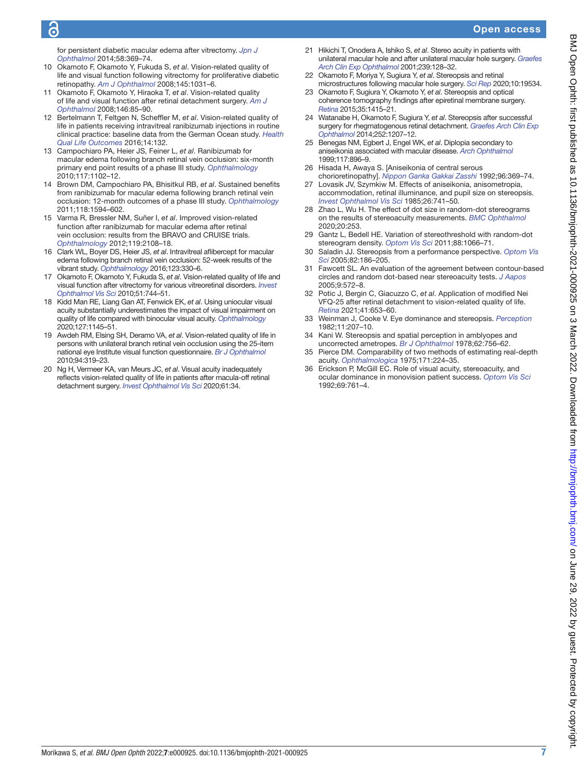# ັດ

### Open access

for persistent diabetic macular edema after vitrectomy. *[Jpn J](http://dx.doi.org/10.1007/s10384-014-0323-7)  [Ophthalmol](http://dx.doi.org/10.1007/s10384-014-0323-7)* 2014;58:369–74.

- <span id="page-6-0"></span>10 Okamoto F, Okamoto Y, Fukuda S, *et al*. Vision-related quality of life and visual function following vitrectomy for proliferative diabetic retinopathy. *[Am J Ophthalmol](http://dx.doi.org/10.1016/j.ajo.2008.02.006)* 2008;145:1031–6.
- <span id="page-6-1"></span>11 Okamoto F, Okamoto Y, Hiraoka T, *et al*. Vision-related quality of life and visual function after retinal detachment surgery. *[Am J](http://dx.doi.org/10.1016/j.ajo.2008.02.011)  [Ophthalmol](http://dx.doi.org/10.1016/j.ajo.2008.02.011)* 2008;146:85–90.
- <span id="page-6-2"></span>12 Bertelmann T, Feltgen N, Scheffler M, *et al*. Vision-related quality of life in patients receiving intravitreal ranibizumab injections in routine clinical practice: baseline data from the German Ocean study. *[Health](http://dx.doi.org/10.1186/s12955-016-0536-1)  [Qual Life Outcomes](http://dx.doi.org/10.1186/s12955-016-0536-1)* 2016;14:132.
- 13 Campochiaro PA, Heier JS, Feiner L, *et al*. Ranibizumab for macular edema following branch retinal vein occlusion: six-month primary end point results of a phase III study. *[Ophthalmology](http://dx.doi.org/10.1016/j.ophtha.2010.02.021)* 2010;117:1102–12.
- 14 Brown DM, Campochiaro PA, Bhisitkul RB, *et al*. Sustained benefits from ranibizumab for macular edema following branch retinal vein occlusion: 12-month outcomes of a phase III study. *[Ophthalmology](http://dx.doi.org/10.1016/j.ophtha.2011.02.022)* 2011;118:1594–602.
- 15 Varma R, Bressler NM, Suñer I, *et al*. Improved vision-related function after ranibizumab for macular edema after retinal vein occlusion: results from the BRAVO and CRUISE trials. *[Ophthalmology](http://dx.doi.org/10.1016/j.ophtha.2012.05.017)* 2012;119:2108–18.
- 16 Clark WL, Boyer DS, Heier JS, *et al*. Intravitreal aflibercept for macular edema following branch retinal vein occlusion: 52-week results of the vibrant study. *[Ophthalmology](http://dx.doi.org/10.1016/j.ophtha.2015.09.035)* 2016;123:330–6.
- 17 Okamoto F, Okamoto Y, Fukuda S, *et al*. Vision-related quality of life and visual function after vitrectomy for various vitreoretinal disorders. *[Invest](http://dx.doi.org/10.1167/iovs.09-3992)  [Ophthalmol Vis Sci](http://dx.doi.org/10.1167/iovs.09-3992)* 2010;51:744–51.
- <span id="page-6-3"></span>18 Kidd Man RE, Liang Gan AT, Fenwick EK, *et al*. Using uniocular visual acuity substantially underestimates the impact of visual impairment on quality of life compared with binocular visual acuity. *[Ophthalmology](http://dx.doi.org/10.1016/j.ophtha.2020.01.056)* 2020;127:1145–51.
- <span id="page-6-4"></span>19 Awdeh RM, Elsing SH, Deramo VA, *et al*. Vision-related quality of life in persons with unilateral branch retinal vein occlusion using the 25-item national eye Institute visual function questionnaire. *[Br J Ophthalmol](http://dx.doi.org/10.1136/bjo.2007.135913)* 2010;94:319–23.
- <span id="page-6-5"></span>20 Ng H, Vermeer KA, van Meurs JC, *et al*. Visual acuity inadequately reflects vision-related quality of life in patients after macula-off retinal detachment surgery. *[Invest Ophthalmol Vis Sci](http://dx.doi.org/10.1167/iovs.61.10.34)* 2020;61:34.
- <span id="page-6-6"></span>21 Hikichi T, Onodera A, Ishiko S, *et al*. Stereo acuity in patients with unilateral macular hole and after unilateral macular hole surgery. *[Graefes](http://dx.doi.org/10.1007/s004170100257)  [Arch Clin Exp Ophthalmol](http://dx.doi.org/10.1007/s004170100257)* 2001;239:128–32.
- <span id="page-6-9"></span>22 Okamoto F, Moriya Y, Sugiura Y, *et al*. Stereopsis and retinal microstructures following macular hole surgery. *[Sci Rep](http://dx.doi.org/10.1038/s41598-020-76648-4)* 2020;10:19534.
- <span id="page-6-7"></span>23 Okamoto F, Sugiura Y, Okamoto Y, *et al*. Stereopsis and optical coherence tomography findings after epiretinal membrane surgery. *[Retina](http://dx.doi.org/10.1097/IAE.0000000000000470)* 2015;35:1415–21.
- <span id="page-6-8"></span>24 Watanabe H, Okamoto F, Sugiura Y, *et al*. Stereopsis after successful surgery for rhegmatogenous retinal detachment. *[Graefes Arch Clin Exp](http://dx.doi.org/10.1007/s00417-014-2566-x)  [Ophthalmol](http://dx.doi.org/10.1007/s00417-014-2566-x)* 2014;252:1207–12.
- <span id="page-6-10"></span>25 Benegas NM, Egbert J, Engel WK, *et al*. Diplopia secondary to aniseikonia associated with macular disease. *[Arch Ophthalmol](http://dx.doi.org/10.1001/archopht.117.7.896)* 1999;117:896–9.
- 26 Hisada H, Awaya S. [Aniseikonia of central serous chorioretinopathy]. *[Nippon Ganka Gakkai Zasshi](http://www.ncbi.nlm.nih.gov/pubmed/1580222)* 1992;96:369–74.
- <span id="page-6-11"></span>27 Lovasik JV, Szymkiw M. Effects of aniseikonia, anisometropia, accommodation, retinal illuminance, and pupil size on stereopsis. *[Invest Ophthalmol Vis Sci](http://www.ncbi.nlm.nih.gov/pubmed/3997423)* 1985;26:741–50.
- <span id="page-6-12"></span>28 Zhao L, Wu H. The effect of dot size in random-dot stereograms on the results of stereoacuity measurements. *[BMC Ophthalmol](http://dx.doi.org/10.1186/s12886-020-01526-6)* 2020;20:253.
- 29 Gantz L, Bedell HE. Variation of stereothreshold with random-dot stereogram density. *[Optom Vis Sci](http://dx.doi.org/10.1097/OPX.0b013e3182217487)* 2011;88:1066–71.
- 30 Saladin JJ. Stereopsis from a performance perspective. *[Optom Vis](http://dx.doi.org/10.1097/01.OPX.0000156320.71949.9D)  [Sci](http://dx.doi.org/10.1097/01.OPX.0000156320.71949.9D)* 2005;82:186–205.
- 31 Fawcett SL. An evaluation of the agreement between contour-based circles and random dot-based near stereoacuity tests. *[J Aapos](http://dx.doi.org/10.1016/j.jaapos.2005.06.006)* 2005;9:572–8.
- <span id="page-6-13"></span>32 Potic J, Bergin C, Giacuzzo C, *et al*. Application of modified Nei VFQ-25 after retinal detachment to vision-related quality of life. *[Retina](http://dx.doi.org/10.1097/IAE.0000000000002894)* 2021;41:653–60.
- <span id="page-6-14"></span>33 Weinman J, Cooke V. Eye dominance and stereopsis. *[Perception](http://dx.doi.org/10.1068/p110207)* 1982;11:207–10.
- 34 Kani W. Stereopsis and spatial perception in amblyopes and uncorrected ametropes. *[Br J Ophthalmol](http://dx.doi.org/10.1136/bjo.62.11.756)* 1978;62:756–62.
- 35 Pierce DM. Comparability of two methods of estimating real-depth acuity. *[Ophthalmologica](http://dx.doi.org/10.1159/000307512)* 1975;171:224–35.
- 36 Erickson P, McGill EC. Role of visual acuity, stereoacuity, and ocular dominance in monovision patient success. *[Optom Vis Sci](http://dx.doi.org/10.1097/00006324-199210000-00003)* 1992;69:761–4.